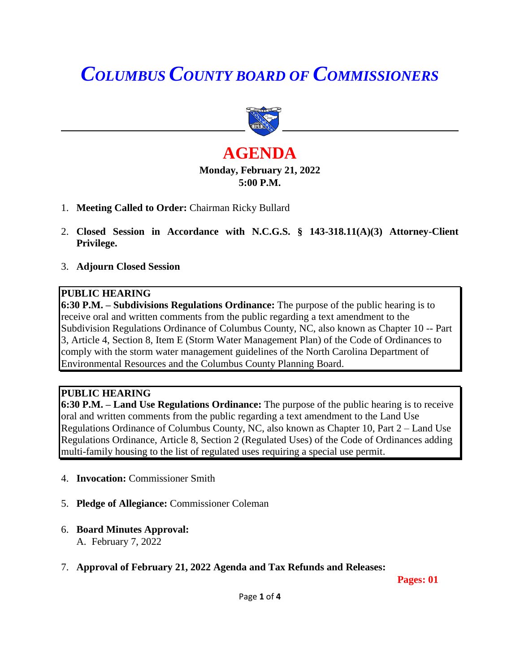# *COLUMBUS COUNTY BOARD OF COMMISSIONERS*



## **AGENDA Monday, February 21, 2022 5:00 P.M.**

- 1. **Meeting Called to Order:** Chairman Ricky Bullard
- 2. **Closed Session in Accordance with N.C.G.S. § 143-318.11(A)(3) Attorney-Client Privilege.**
- 3. **Adjourn Closed Session**

## **PUBLIC HEARING**

**6:30 P.M. – Subdivisions Regulations Ordinance:** The purpose of the public hearing is to receive oral and written comments from the public regarding a text amendment to the Subdivision Regulations Ordinance of Columbus County, NC, also known as Chapter 10 -- Part 3, Article 4, Section 8, Item E (Storm Water Management Plan) of the Code of Ordinances to comply with the storm water management guidelines of the North Carolina Department of Environmental Resources and the Columbus County Planning Board.

### **PUBLIC HEARING**

**6:30 P.M. – Land Use Regulations Ordinance:** The purpose of the public hearing is to receive oral and written comments from the public regarding a text amendment to the Land Use Regulations Ordinance of Columbus County, NC, also known as Chapter 10, Part 2 – Land Use Regulations Ordinance, Article 8, Section 2 (Regulated Uses) of the Code of Ordinances adding multi-family housing to the list of regulated uses requiring a special use permit.

- 4. **Invocation:** Commissioner Smith
- 5. **Pledge of Allegiance:** Commissioner Coleman
- 6. **Board Minutes Approval:** A. February 7, 2022
- 7. **Approval of February 21, 2022 Agenda and Tax Refunds and Releases:**

**Pages: 01**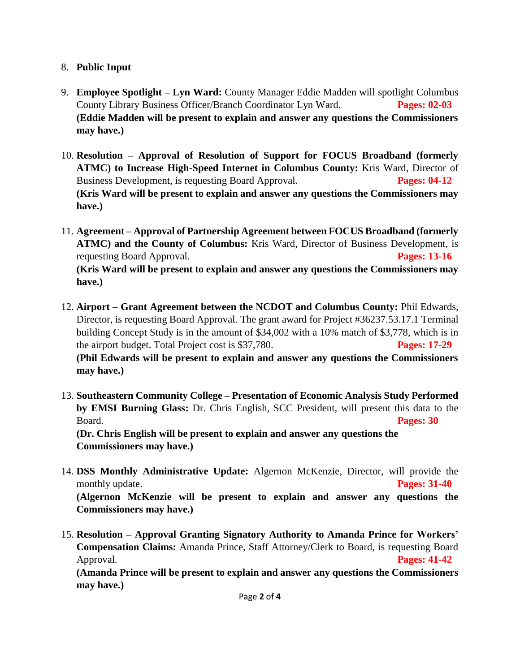## 8. **Public Input**

- 9. **Employee Spotlight – Lyn Ward:** County Manager Eddie Madden will spotlight Columbus County Library Business Officer/Branch Coordinator Lyn Ward. **Pages: 02-03 (Eddie Madden will be present to explain and answer any questions the Commissioners may have.)**
- 10. **Resolution – Approval of Resolution of Support for FOCUS Broadband (formerly ATMC) to Increase High-Speed Internet in Columbus County:** Kris Ward, Director of Business Development, is requesting Board Approval. **Pages: 04-12 (Kris Ward will be present to explain and answer any questions the Commissioners may have.)**
- 11. **Agreement – Approval of Partnership Agreement between FOCUS Broadband (formerly ATMC) and the County of Columbus:** Kris Ward, Director of Business Development, is requesting Board Approval. **Pages: 13-16 (Kris Ward will be present to explain and answer any questions the Commissioners may have.)**
- 12. **Airport – Grant Agreement between the NCDOT and Columbus County:** Phil Edwards, Director, is requesting Board Approval. The grant award for Project #36237.53.17.1 Terminal building Concept Study is in the amount of \$34,002 with a 10% match of \$3,778, which is in the airport budget. Total Project cost is \$37,780. **Pages: 17-29 (Phil Edwards will be present to explain and answer any questions the Commissioners may have.)**
- 13. **Southeastern Community College – Presentation of Economic Analysis Study Performed by EMSI Burning Glass:** Dr. Chris English, SCC President, will present this data to the Board. **Pages: 30 (Dr. Chris English will be present to explain and answer any questions the Commissioners may have.)**
- 14. **DSS Monthly Administrative Update:** Algernon McKenzie, Director, will provide the monthly update. **Pages: 31-40 (Algernon McKenzie will be present to explain and answer any questions the Commissioners may have.)**
- 15. **Resolution – Approval Granting Signatory Authority to Amanda Prince for Workers' Compensation Claims:** Amanda Prince, Staff Attorney/Clerk to Board, is requesting Board Approval. **Pages: 41-42**

**(Amanda Prince will be present to explain and answer any questions the Commissioners may have.)**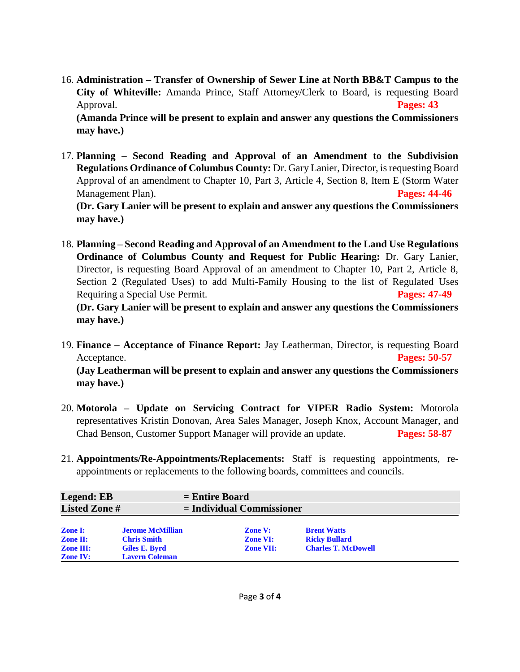- 16. **Administration – Transfer of Ownership of Sewer Line at North BB&T Campus to the City of Whiteville:** Amanda Prince, Staff Attorney/Clerk to Board, is requesting Board Approval. **Pages: 43 (Amanda Prince will be present to explain and answer any questions the Commissioners may have.)**
- 17. **Planning – Second Reading and Approval of an Amendment to the Subdivision Regulations Ordinance of Columbus County:** Dr. Gary Lanier, Director, is requesting Board Approval of an amendment to Chapter 10, Part 3, Article 4, Section 8, Item E (Storm Water Management Plan). **Pages: 44-46 (Dr. Gary Lanier will be present to explain and answer any questions the Commissioners**

**may have.)**

18. **Planning – Second Reading and Approval of an Amendment to the Land Use Regulations Ordinance of Columbus County and Request for Public Hearing:** Dr. Gary Lanier, Director, is requesting Board Approval of an amendment to Chapter 10, Part 2, Article 8, Section 2 (Regulated Uses) to add Multi-Family Housing to the list of Regulated Uses Requiring a Special Use Permit. **Pages: 47-49**

**(Dr. Gary Lanier will be present to explain and answer any questions the Commissioners may have.)**

19. **Finance – Acceptance of Finance Report:** Jay Leatherman, Director, is requesting Board Acceptance. **Pages: 50-57**

**(Jay Leatherman will be present to explain and answer any questions the Commissioners may have.)**

- 20. **Motorola – Update on Servicing Contract for VIPER Radio System:** Motorola representatives Kristin Donovan, Area Sales Manager, Joseph Knox, Account Manager, and Chad Benson, Customer Support Manager will provide an update. **Pages: 58-87**
- 21. **Appointments/Re-Appointments/Replacements:** Staff is requesting appointments, reappointments or replacements to the following boards, committees and councils.

| <b>Legend: EB</b><br><b>Listed Zone#</b>                                 |                                                                                         | $=$ Entire Board<br>$=$ Individual Commissioner       |                                                                          |  |
|--------------------------------------------------------------------------|-----------------------------------------------------------------------------------------|-------------------------------------------------------|--------------------------------------------------------------------------|--|
| <b>Zone I:</b><br><b>Zone II:</b><br><b>Zone III:</b><br><b>Zone IV:</b> | <b>Jerome McMillian</b><br><b>Chris Smith</b><br>Giles E. Byrd<br><b>Lavern Coleman</b> | <b>Zone V:</b><br><b>Zone VI:</b><br><b>Zone VII:</b> | <b>Brent Watts</b><br><b>Ricky Bullard</b><br><b>Charles T. McDowell</b> |  |